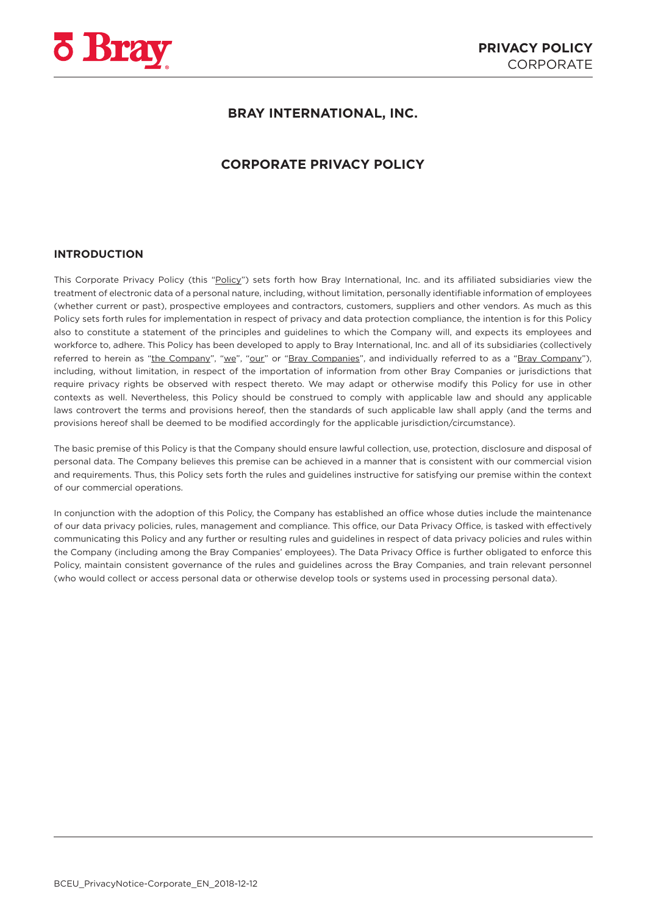

# **BRAY INTERNATIONAL, INC.**

# **CORPORATE PRIVACY POLICY**

#### **INTRODUCTION**

This Corporate Privacy Policy (this "Policy") sets forth how Bray International, Inc. and its affiliated subsidiaries view the treatment of electronic data of a personal nature, including, without limitation, personally identifiable information of employees (whether current or past), prospective employees and contractors, customers, suppliers and other vendors. As much as this Policy sets forth rules for implementation in respect of privacy and data protection compliance, the intention is for this Policy also to constitute a statement of the principles and guidelines to which the Company will, and expects its employees and workforce to, adhere. This Policy has been developed to apply to Bray International, Inc. and all of its subsidiaries (collectively referred to herein as "the Company", "we", "our" or "Bray Companies", and individually referred to as a "Bray Company"), including, without limitation, in respect of the importation of information from other Bray Companies or jurisdictions that require privacy rights be observed with respect thereto. We may adapt or otherwise modify this Policy for use in other contexts as well. Nevertheless, this Policy should be construed to comply with applicable law and should any applicable laws controvert the terms and provisions hereof, then the standards of such applicable law shall apply (and the terms and provisions hereof shall be deemed to be modified accordingly for the applicable jurisdiction/circumstance).

The basic premise of this Policy is that the Company should ensure lawful collection, use, protection, disclosure and disposal of personal data. The Company believes this premise can be achieved in a manner that is consistent with our commercial vision and requirements. Thus, this Policy sets forth the rules and guidelines instructive for satisfying our premise within the context of our commercial operations.

In conjunction with the adoption of this Policy, the Company has established an office whose duties include the maintenance of our data privacy policies, rules, management and compliance. This office, our Data Privacy Office, is tasked with effectively communicating this Policy and any further or resulting rules and guidelines in respect of data privacy policies and rules within the Company (including among the Bray Companies' employees). The Data Privacy Office is further obligated to enforce this Policy, maintain consistent governance of the rules and guidelines across the Bray Companies, and train relevant personnel (who would collect or access personal data or otherwise develop tools or systems used in processing personal data).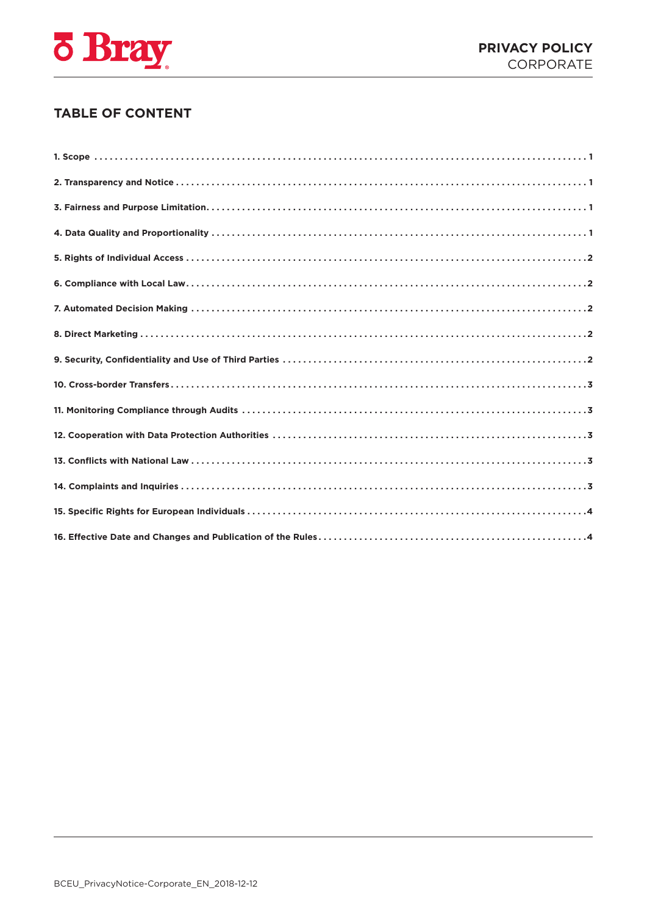

# **TABLE OF CONTENT**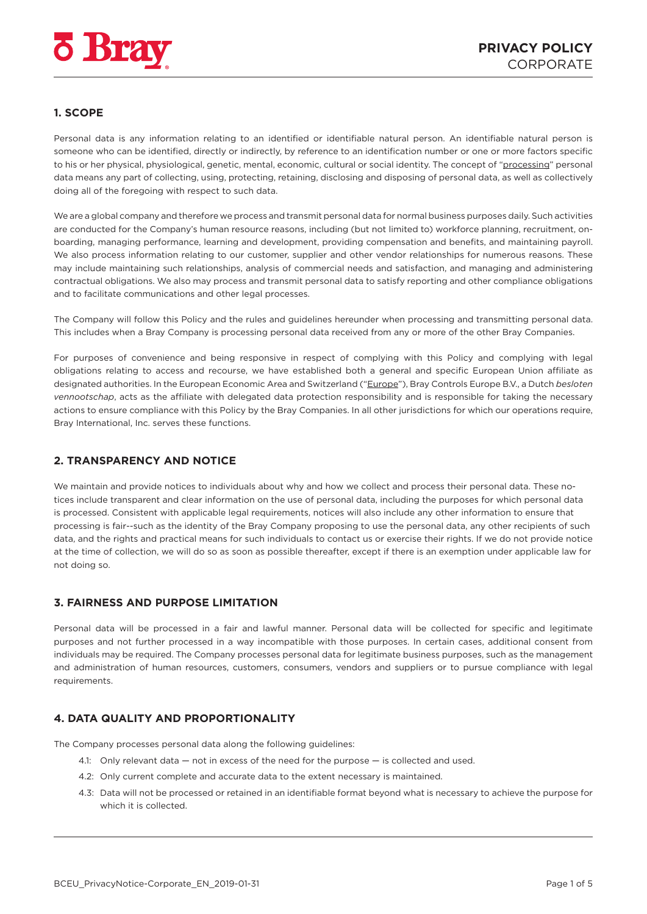<span id="page-2-0"></span>

## **1. SCOPE**

Personal data is any information relating to an identified or identifiable natural person. An identifiable natural person is someone who can be identified, directly or indirectly, by reference to an identification number or one or more factors specific to his or her physical, physiological, genetic, mental, economic, cultural or social identity. The concept of "processing" personal data means any part of collecting, using, protecting, retaining, disclosing and disposing of personal data, as well as collectively doing all of the foregoing with respect to such data.

We are a global company and therefore we process and transmit personal data for normal business purposes daily. Such activities are conducted for the Company's human resource reasons, including (but not limited to) workforce planning, recruitment, onboarding, managing performance, learning and development, providing compensation and benefits, and maintaining payroll. We also process information relating to our customer, supplier and other vendor relationships for numerous reasons. These may include maintaining such relationships, analysis of commercial needs and satisfaction, and managing and administering contractual obligations. We also may process and transmit personal data to satisfy reporting and other compliance obligations and to facilitate communications and other legal processes.

The Company will follow this Policy and the rules and guidelines hereunder when processing and transmitting personal data. This includes when a Bray Company is processing personal data received from any or more of the other Bray Companies.

For purposes of convenience and being responsive in respect of complying with this Policy and complying with legal obligations relating to access and recourse, we have established both a general and specific European Union affiliate as designated authorities. In the European Economic Area and Switzerland ("Europe"), Bray Controls Europe B.V., a Dutch *besloten vennootschap*, acts as the affiliate with delegated data protection responsibility and is responsible for taking the necessary actions to ensure compliance with this Policy by the Bray Companies. In all other jurisdictions for which our operations require, Bray International, Inc. serves these functions.

## **2. TRANSPARENCY AND NOTICE**

We maintain and provide notices to individuals about why and how we collect and process their personal data. These notices include transparent and clear information on the use of personal data, including the purposes for which personal data is processed. Consistent with applicable legal requirements, notices will also include any other information to ensure that processing is fair--such as the identity of the Bray Company proposing to use the personal data, any other recipients of such data, and the rights and practical means for such individuals to contact us or exercise their rights. If we do not provide notice at the time of collection, we will do so as soon as possible thereafter, except if there is an exemption under applicable law for not doing so.

### **3. FAIRNESS AND PURPOSE LIMITATION**

Personal data will be processed in a fair and lawful manner. Personal data will be collected for specific and legitimate purposes and not further processed in a way incompatible with those purposes. In certain cases, additional consent from individuals may be required. The Company processes personal data for legitimate business purposes, such as the management and administration of human resources, customers, consumers, vendors and suppliers or to pursue compliance with legal requirements.

## **4. DATA QUALITY AND PROPORTIONALITY**

The Company processes personal data along the following guidelines:

- 4.1: Only relevant data not in excess of the need for the purpose is collected and used.
- 4.2: Only current complete and accurate data to the extent necessary is maintained.
- 4.3: Data will not be processed or retained in an identifiable format beyond what is necessary to achieve the purpose for which it is collected.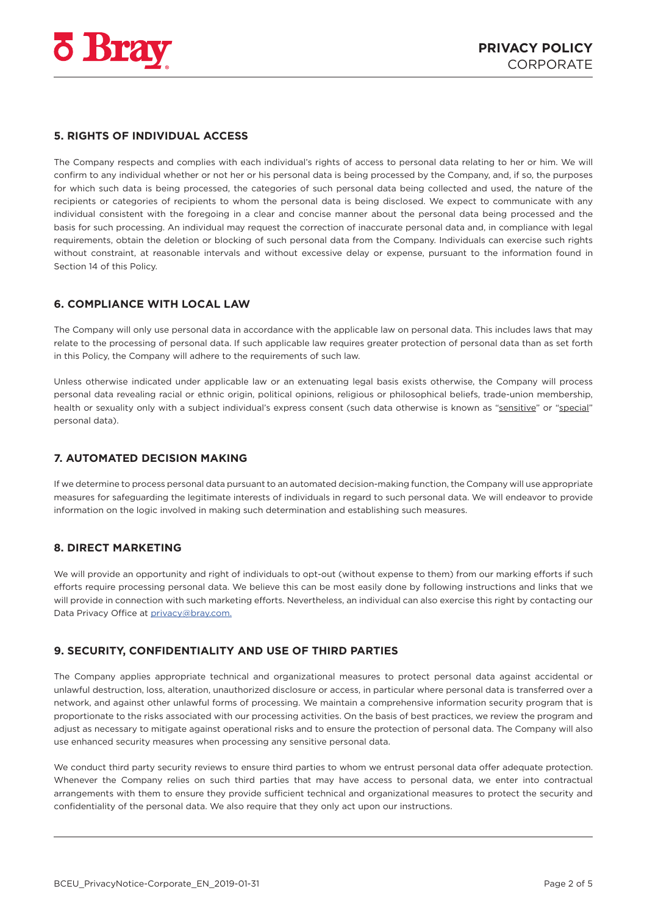<span id="page-3-0"></span>

## **5. RIGHTS OF INDIVIDUAL ACCESS**

The Company respects and complies with each individual's rights of access to personal data relating to her or him. We will confirm to any individual whether or not her or his personal data is being processed by the Company, and, if so, the purposes for which such data is being processed, the categories of such personal data being collected and used, the nature of the recipients or categories of recipients to whom the personal data is being disclosed. We expect to communicate with any individual consistent with the foregoing in a clear and concise manner about the personal data being processed and the basis for such processing. An individual may request the correction of inaccurate personal data and, in compliance with legal requirements, obtain the deletion or blocking of such personal data from the Company. Individuals can exercise such rights without constraint, at reasonable intervals and without excessive delay or expense, pursuant to the information found in Section 14 of this Policy.

## **6. COMPLIANCE WITH LOCAL LAW**

The Company will only use personal data in accordance with the applicable law on personal data. This includes laws that may relate to the processing of personal data. If such applicable law requires greater protection of personal data than as set forth in this Policy, the Company will adhere to the requirements of such law.

Unless otherwise indicated under applicable law or an extenuating legal basis exists otherwise, the Company will process personal data revealing racial or ethnic origin, political opinions, religious or philosophical beliefs, trade-union membership, health or sexuality only with a subject individual's express consent (such data otherwise is known as "sensitive" or "special" personal data).

## **7. AUTOMATED DECISION MAKING**

If we determine to process personal data pursuant to an automated decision-making function, the Company will use appropriate measures for safeguarding the legitimate interests of individuals in regard to such personal data. We will endeavor to provide information on the logic involved in making such determination and establishing such measures.

### **8. DIRECT MARKETING**

We will provide an opportunity and right of individuals to opt-out (without expense to them) from our marking efforts if such efforts require processing personal data. We believe this can be most easily done by following instructions and links that we will provide in connection with such marketing efforts. Nevertheless, an individual can also exercise this right by contacting our Data Privacy Office at [privacy@bray.com.](mailto:privacy%40bray.com?subject=)

### **9. SECURITY, CONFIDENTIALITY AND USE OF THIRD PARTIES**

The Company applies appropriate technical and organizational measures to protect personal data against accidental or unlawful destruction, loss, alteration, unauthorized disclosure or access, in particular where personal data is transferred over a network, and against other unlawful forms of processing. We maintain a comprehensive information security program that is proportionate to the risks associated with our processing activities. On the basis of best practices, we review the program and adjust as necessary to mitigate against operational risks and to ensure the protection of personal data. The Company will also use enhanced security measures when processing any sensitive personal data.

We conduct third party security reviews to ensure third parties to whom we entrust personal data offer adequate protection. Whenever the Company relies on such third parties that may have access to personal data, we enter into contractual arrangements with them to ensure they provide sufficient technical and organizational measures to protect the security and confidentiality of the personal data. We also require that they only act upon our instructions.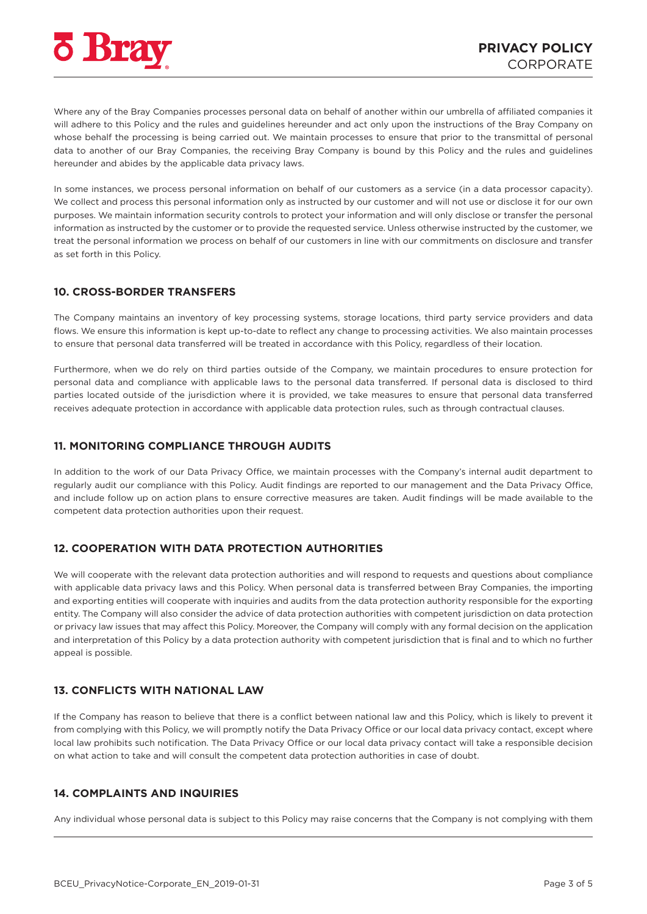<span id="page-4-0"></span>

Where any of the Bray Companies processes personal data on behalf of another within our umbrella of affiliated companies it will adhere to this Policy and the rules and guidelines hereunder and act only upon the instructions of the Bray Company on whose behalf the processing is being carried out. We maintain processes to ensure that prior to the transmittal of personal data to another of our Bray Companies, the receiving Bray Company is bound by this Policy and the rules and guidelines hereunder and abides by the applicable data privacy laws.

In some instances, we process personal information on behalf of our customers as a service (in a data processor capacity). We collect and process this personal information only as instructed by our customer and will not use or disclose it for our own purposes. We maintain information security controls to protect your information and will only disclose or transfer the personal information as instructed by the customer or to provide the requested service. Unless otherwise instructed by the customer, we treat the personal information we process on behalf of our customers in line with our commitments on disclosure and transfer as set forth in this Policy.

#### **10. CROSS-BORDER TRANSFERS**

The Company maintains an inventory of key processing systems, storage locations, third party service providers and data flows. We ensure this information is kept up-to-date to reflect any change to processing activities. We also maintain processes to ensure that personal data transferred will be treated in accordance with this Policy, regardless of their location.

Furthermore, when we do rely on third parties outside of the Company, we maintain procedures to ensure protection for personal data and compliance with applicable laws to the personal data transferred. If personal data is disclosed to third parties located outside of the jurisdiction where it is provided, we take measures to ensure that personal data transferred receives adequate protection in accordance with applicable data protection rules, such as through contractual clauses.

#### **11. MONITORING COMPLIANCE THROUGH AUDITS**

In addition to the work of our Data Privacy Office, we maintain processes with the Company's internal audit department to regularly audit our compliance with this Policy. Audit findings are reported to our management and the Data Privacy Office, and include follow up on action plans to ensure corrective measures are taken. Audit findings will be made available to the competent data protection authorities upon their request.

### **12. COOPERATION WITH DATA PROTECTION AUTHORITIES**

We will cooperate with the relevant data protection authorities and will respond to requests and questions about compliance with applicable data privacy laws and this Policy. When personal data is transferred between Bray Companies, the importing and exporting entities will cooperate with inquiries and audits from the data protection authority responsible for the exporting entity. The Company will also consider the advice of data protection authorities with competent jurisdiction on data protection or privacy law issues that may affect this Policy. Moreover, the Company will comply with any formal decision on the application and interpretation of this Policy by a data protection authority with competent jurisdiction that is final and to which no further appeal is possible.

#### **13. CONFLICTS WITH NATIONAL LAW**

If the Company has reason to believe that there is a conflict between national law and this Policy, which is likely to prevent it from complying with this Policy, we will promptly notify the Data Privacy Office or our local data privacy contact, except where local law prohibits such notification. The Data Privacy Office or our local data privacy contact will take a responsible decision on what action to take and will consult the competent data protection authorities in case of doubt.

#### **14. COMPLAINTS AND INQUIRIES**

Any individual whose personal data is subject to this Policy may raise concerns that the Company is not complying with them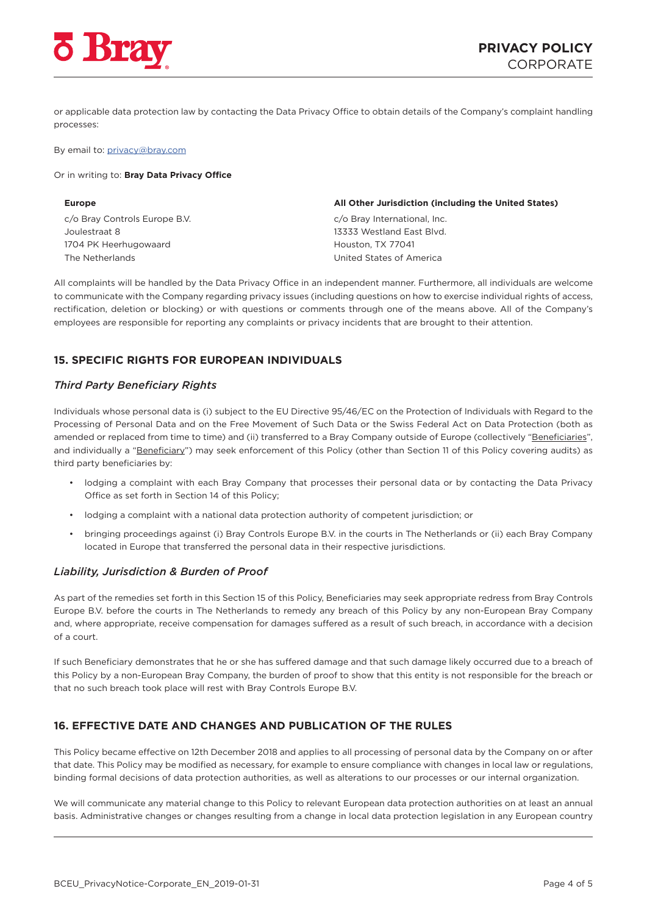<span id="page-5-0"></span>

or applicable data protection law by contacting the Data Privacy Office to obtain details of the Company's complaint handling processes:

#### By email to: [privacy@bray.com](mailto:privacy%40bray.com?subject=)

#### Or in writing to: **Bray Data Privacy Office**

c/o Bray Controls Europe B.V. Joulestraat 8 1704 PK Heerhugowaard The Netherlands

#### **Europe All Other Jurisdiction (including the United States)**

c/o Bray International, Inc. 13333 Westland East Blvd. Houston, TX 77041 United States of America

All complaints will be handled by the Data Privacy Office in an independent manner. Furthermore, all individuals are welcome to communicate with the Company regarding privacy issues (including questions on how to exercise individual rights of access, rectification, deletion or blocking) or with questions or comments through one of the means above. All of the Company's employees are responsible for reporting any complaints or privacy incidents that are brought to their attention.

## **15. SPECIFIC RIGHTS FOR EUROPEAN INDIVIDUALS**

#### *Third Party Beneficiary Rights*

Individuals whose personal data is (i) subject to the EU Directive 95/46/EC on the Protection of Individuals with Regard to the Processing of Personal Data and on the Free Movement of Such Data or the Swiss Federal Act on Data Protection (both as amended or replaced from time to time) and (ii) transferred to a Bray Company outside of Europe (collectively "Beneficiaries", and individually a "Beneficiary") may seek enforcement of this Policy (other than Section 11 of this Policy covering audits) as third party beneficiaries by:

- lodging a complaint with each Bray Company that processes their personal data or by contacting the Data Privacy Office as set forth in Section 14 of this Policy;
- lodging a complaint with a national data protection authority of competent jurisdiction; or
- bringing proceedings against (i) Bray Controls Europe B.V. in the courts in The Netherlands or (ii) each Bray Company located in Europe that transferred the personal data in their respective jurisdictions.

#### *Liability, Jurisdiction & Burden of Proof*

As part of the remedies set forth in this Section 15 of this Policy, Beneficiaries may seek appropriate redress from Bray Controls Europe B.V. before the courts in The Netherlands to remedy any breach of this Policy by any non-European Bray Company and, where appropriate, receive compensation for damages suffered as a result of such breach, in accordance with a decision of a court.

If such Beneficiary demonstrates that he or she has suffered damage and that such damage likely occurred due to a breach of this Policy by a non-European Bray Company, the burden of proof to show that this entity is not responsible for the breach or that no such breach took place will rest with Bray Controls Europe B.V.

### **16. EFFECTIVE DATE AND CHANGES AND PUBLICATION OF THE RULES**

This Policy became effective on 12th December 2018 and applies to all processing of personal data by the Company on or after that date. This Policy may be modified as necessary, for example to ensure compliance with changes in local law or regulations, binding formal decisions of data protection authorities, as well as alterations to our processes or our internal organization.

We will communicate any material change to this Policy to relevant European data protection authorities on at least an annual basis. Administrative changes or changes resulting from a change in local data protection legislation in any European country